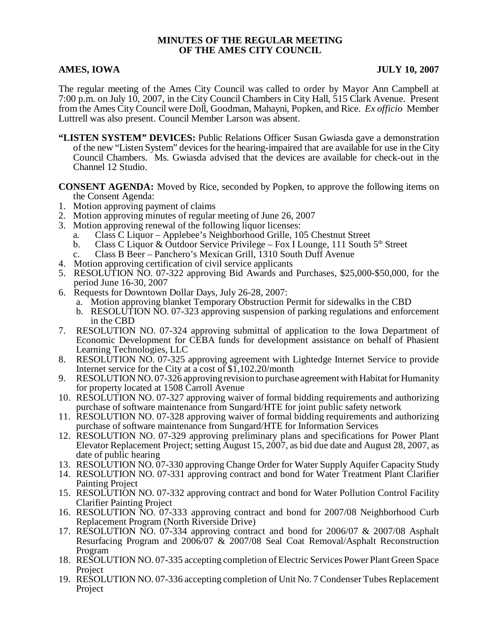## **MINUTES OF THE REGULAR MEETING OF THE AMES CITY COUNCIL**

### **AMES, IOWA** JULY 10, 2007

The regular meeting of the Ames City Council was called to order by Mayor Ann Campbell at 7:00 p.m. on July 10, 2007, in the City Council Chambers in City Hall, 515 Clark Avenue. Present from the Ames City Council were Doll, Goodman, Mahayni, Popken, and Rice. *Ex officio* Member Luttrell was also present. Council Member Larson was absent.

**"LISTEN SYSTEM" DEVICES:** Public Relations Officer Susan Gwiasda gave a demonstration of the new "Listen System" devices for the hearing-impaired that are available for use in the City Council Chambers. Ms. Gwiasda advised that the devices are available for check-out in the Channel 12 Studio.

**CONSENT AGENDA:** Moved by Rice, seconded by Popken, to approve the following items on the Consent Agenda:

- 1. Motion approving payment of claims
- 2. Motion approving minutes of regular meeting of June 26, 2007
- 3. Motion approving renewal of the following liquor licenses:
	- a. Class C Liquor Applebee's Neighborhood Grille, 105 Chestnut Street
	- b. Class C Liquor & Outdoor Service Privilege Fox I Lounge, 111 South  $5<sup>th</sup>$  Street
	- c. Class B Beer Panchero's Mexican Grill, 1310 South Duff Avenue
- 4. Motion approving certification of civil service applicants
- 5. RESOLUTION NO. 07-322 approving Bid Awards and Purchases, \$25,000-\$50,000, for the period June 16-30, 2007
- 6. Requests for Downtown Dollar Days, July 26-28, 2007:
	- a. Motion approving blanket Temporary Obstruction Permit for sidewalks in the CBD
	- b. RESOLUTION NO. 07-323 approving suspension of parking regulations and enforcement in the CBD
- 7. RESOLUTION NO. 07-324 approving submittal of application to the Iowa Department of Economic Development for CEBA funds for development assistance on behalf of Phasient Learning Technologies, LLC
- 8. RESOLUTION NO. 07-325 approving agreement with Lightedge Internet Service to provide Internet service for the City at a cost of \$1,102.20/month
- 9. RESOLUTION NO. 07-326 approving revision to purchase agreement with Habitat for Humanity for property located at 1508 Carroll Avenue
- 10. RESOLUTION NO. 07-327 approving waiver of formal bidding requirements and authorizing purchase of software maintenance from Sungard/HTE for joint public safety network
- 11. RESOLUTION NO. 07-328 approving waiver of formal bidding requirements and authorizing purchase of software maintenance from Sungard/HTE for Information Services
- 12. RESOLUTION NO. 07-329 approving preliminary plans and specifications for Power Plant Elevator Replacement Project; setting August 15, 2007, as bid due date and August 28, 2007, as date of public hearing
- 13. RESOLUTION NO. 07-330 approving Change Order for Water Supply Aquifer Capacity Study
- 14. RESOLUTION NO. 07-331 approving contract and bond for Water Treatment Plant Clarifier Painting Project
- 15. RESOLUTION NO. 07-332 approving contract and bond for Water Pollution Control Facility Clarifier Painting Project
- 16. RESOLUTION NO. 07-333 approving contract and bond for 2007/08 Neighborhood Curb Replacement Program (North Riverside Drive)
- 17. RESOLUTION NO. 07-334 approving contract and bond for 2006/07 & 2007/08 Asphalt Resurfacing Program and 2006/07 & 2007/08 Seal Coat Removal/Asphalt Reconstruction Program
- 18. RESOLUTION NO. 07-335 accepting completion of Electric Services Power Plant Green Space Project
- 19. RESOLUTION NO. 07-336 accepting completion of Unit No. 7 Condenser Tubes Replacement Project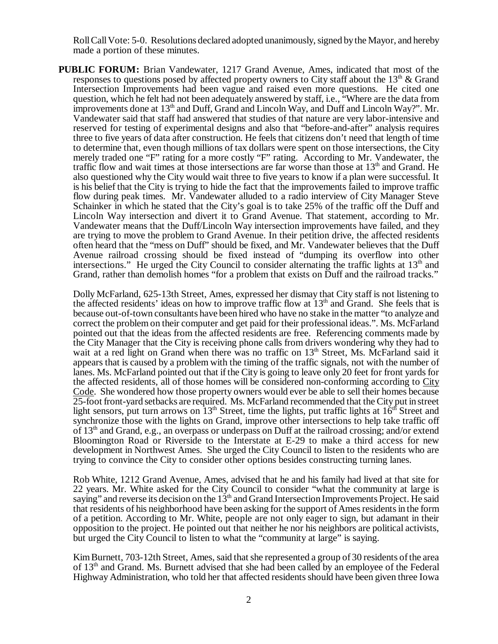Roll Call Vote: 5-0. Resolutions declared adopted unanimously, signed by the Mayor, and hereby made a portion of these minutes.

**PUBLIC FORUM:** Brian Vandewater, 1217 Grand Avenue, Ames, indicated that most of the responses to questions posed by affected property owners to City staff about the  $13<sup>th</sup>$  & Grand Intersection Improvements had been vague and raised even more questions. He cited one question, which he felt had not been adequately answered by staff, i.e., "Where are the data from improvements done at  $13<sup>th</sup>$  and Duff, Grand and Lincoln Way, and Duff and Lincoln Way?". Mr. Vandewater said that staff had answered that studies of that nature are very labor-intensive and reserved for testing of experimental designs and also that "before-and-after" analysis requires three to five years of data after construction. He feels that citizens don't need that length of time to determine that, even though millions of tax dollars were spent on those intersections, the City merely traded one "F" rating for a more costly "F" rating. According to Mr. Vandewater, the traffic flow and wait times at those intersections are far worse than those at  $13<sup>th</sup>$  and Grand. He also questioned why the City would wait three to five years to know if a plan were successful. It is his belief that the City is trying to hide the fact that the improvements failed to improve traffic flow during peak times. Mr. Vandewater alluded to a radio interview of City Manager Steve Schainker in which he stated that the City's goal is to take 25% of the traffic off the Duff and Lincoln Way intersection and divert it to Grand Avenue. That statement, according to Mr. Vandewater means that the Duff/Lincoln Way intersection improvements have failed, and they are trying to move the problem to Grand Avenue. In their petition drive, the affected residents often heard that the "mess on Duff" should be fixed, and Mr. Vandewater believes that the Duff Avenue railroad crossing should be fixed instead of "dumping its overflow into other intersections." He urged the City Council to consider alternating the traffic lights at  $13<sup>th</sup>$  and Grand, rather than demolish homes "for a problem that exists on Duff and the railroad tracks."

Dolly McFarland, 625-13th Street, Ames, expressed her dismay that City staff is not listening to the affected residents' ideas on how to improve traffic flow at  $13<sup>th</sup>$  and Grand. She feels that is because out-of-town consultants have been hired who have no stake in the matter "to analyze and correct the problem on their computer and get paid for their professional ideas.". Ms. McFarland pointed out that the ideas from the affected residents are free. Referencing comments made by the City Manager that the City is receiving phone calls from drivers wondering why they had to wait at a red light on Grand when there was no traffic on  $13<sup>th</sup>$  Street, Ms. McFarland said it appears that is caused by a problem with the timing of the traffic signals, not with the number of lanes. Ms. McFarland pointed out that if the City is going to leave only 20 feet for front yards for the affected residents, all of those homes will be considered non-conforming according to City Code. She wondered how those property owners would ever be able to sell their homes because 25-foot front-yard setbacks are required. Ms. McFarland recommended that the City put in street light sensors, put turn arrows on  $13<sup>th</sup>$  Street, time the lights, put traffic lights at  $16<sup>th</sup>$  Street and synchronize those with the lights on Grand, improve other intersections to help take traffic off of  $13<sup>th</sup>$  and Grand, e.g., an overpass or underpass on Duff at the railroad crossing; and/or extend Bloomington Road or Riverside to the Interstate at E-29 to make a third access for new development in Northwest Ames. She urged the City Council to listen to the residents who are trying to convince the City to consider other options besides constructing turning lanes.

Rob White, 1212 Grand Avenue, Ames, advised that he and his family had lived at that site for 22 years. Mr. White asked for the City Council to consider "what the community at large is saying" and reverse its decision on the  $13<sup>th</sup>$  and Grand Intersection Improvements Project. He said that residents of his neighborhood have been asking for the support of Ames residents in the form of a petition. According to Mr. White, people are not only eager to sign, but adamant in their opposition to the project. He pointed out that neither he nor his neighbors are political activists, but urged the City Council to listen to what the "community at large" is saying.

Kim Burnett, 703-12th Street, Ames, said that she represented a group of 30 residents of the area of  $13<sup>th</sup>$  and Grand. Ms. Burnett advised that she had been called by an employee of the Federal Highway Administration, who told her that affected residents should have been given three Iowa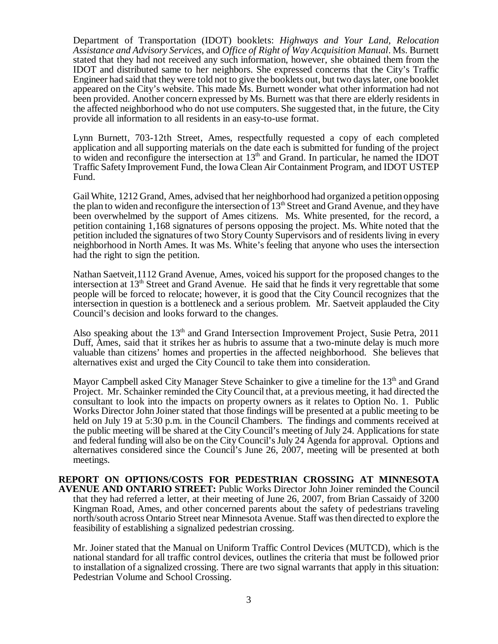Department of Transportation (IDOT) booklets: *Highways and Your Land, Relocation Assistance and Advisory Services*, and *Office of Right of Way Acquisition Manual*. Ms. Burnett stated that they had not received any such information, however, she obtained them from the IDOT and distributed same to her neighbors. She expressed concerns that the City's Traffic Engineer had said that they were told not to give the booklets out, but two days later, one booklet appeared on the City's website. This made Ms. Burnett wonder what other information had not been provided. Another concern expressed by Ms. Burnett was that there are elderly residents in the affected neighborhood who do not use computers. She suggested that, in the future, the City provide all information to all residents in an easy-to-use format.

Lynn Burnett, 703-12th Street, Ames, respectfully requested a copy of each completed application and all supporting materials on the date each is submitted for funding of the project to widen and reconfigure the intersection at  $13<sup>th</sup>$  and Grand. In particular, he named the IDOT Traffic Safety Improvement Fund, the Iowa Clean Air Containment Program, and IDOT USTEP Fund.

Gail White, 1212 Grand, Ames, advised that her neighborhood had organized a petition opposing the plan to widen and reconfigure the intersection of  $13<sup>th</sup>$  Street and Grand Avenue, and they have been overwhelmed by the support of Ames citizens. Ms. White presented, for the record, a petition containing 1,168 signatures of persons opposing the project. Ms. White noted that the petition included the signatures of two Story County Supervisors and of residents living in every neighborhood in North Ames. It was Ms. White's feeling that anyone who uses the intersection had the right to sign the petition.

Nathan Saetveit,1112 Grand Avenue, Ames, voiced his support for the proposed changes to the intersection at 13<sup>th</sup> Street and Grand Avenue. He said that he finds it very regrettable that some people will be forced to relocate; however, it is good that the City Council recognizes that the intersection in question is a bottleneck and a serious problem. Mr. Saetveit applauded the City Council's decision and looks forward to the changes.

Also speaking about the  $13<sup>th</sup>$  and Grand Intersection Improvement Project, Susie Petra, 2011 Duff, Ames, said that it strikes her as hubris to assume that a two-minute delay is much more valuable than citizens' homes and properties in the affected neighborhood. She believes that alternatives exist and urged the City Council to take them into consideration.

Mayor Campbell asked City Manager Steve Schainker to give a timeline for the 13<sup>th</sup> and Grand Project. Mr. Schainker reminded the City Council that, at a previous meeting, it had directed the consultant to look into the impacts on property owners as it relates to Option No. 1. Public Works Director John Joiner stated that those findings will be presented at a public meeting to be held on July 19 at 5:30 p.m. in the Council Chambers. The findings and comments received at the public meeting will be shared at the City Council's meeting of July 24. Applications for state and federal funding will also be on the City Council's July 24 Agenda for approval. Options and alternatives considered since the Council's June 26, 2007, meeting will be presented at both meetings.

**REPORT ON OPTIONS/COSTS FOR PEDESTRIAN CROSSING AT MINNESOTA AVENUE AND ONTARIO STREET:** Public Works Director John Joiner reminded the Council that they had referred a letter, at their meeting of June 26, 2007, from Brian Cassaidy of 3200 Kingman Road, Ames, and other concerned parents about the safety of pedestrians traveling north/south across Ontario Street near Minnesota Avenue. Staff was then directed to explore the feasibility of establishing a signalized pedestrian crossing.

Mr. Joiner stated that the Manual on Uniform Traffic Control Devices (MUTCD), which is the national standard for all traffic control devices, outlines the criteria that must be followed prior to installation of a signalized crossing. There are two signal warrants that apply in this situation: Pedestrian Volume and School Crossing.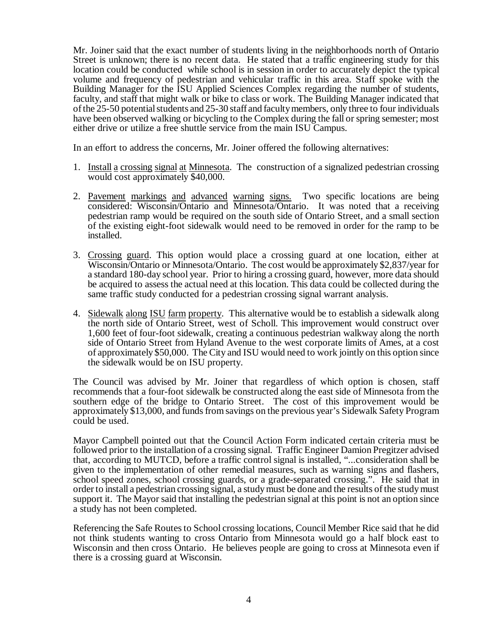Mr. Joiner said that the exact number of students living in the neighborhoods north of Ontario Street is unknown; there is no recent data. He stated that a traffic engineering study for this location could be conducted while school is in session in order to accurately depict the typical volume and frequency of pedestrian and vehicular traffic in this area. Staff spoke with the Building Manager for the ISU Applied Sciences Complex regarding the number of students, faculty, and staff that might walk or bike to class or work. The Building Manager indicated that of the 25-50 potential students and 25-30 staff and faculty members, only three to four individuals have been observed walking or bicycling to the Complex during the fall or spring semester; most either drive or utilize a free shuttle service from the main ISU Campus.

In an effort to address the concerns, Mr. Joiner offered the following alternatives:

- 1. Install a crossing signal at Minnesota. The construction of a signalized pedestrian crossing would cost approximately \$40,000.
- 2. Pavement markings and advanced warning signs. Two specific locations are being considered: Wisconsin/Ontario and Minnesota/Ontario. It was noted that a receiving pedestrian ramp would be required on the south side of Ontario Street, and a small section of the existing eight-foot sidewalk would need to be removed in order for the ramp to be installed.
- 3. Crossing guard. This option would place a crossing guard at one location, either at Wisconsin/Ontario or Minnesota/Ontario. The cost would be approximately \$2,837/year for a standard 180-day school year. Prior to hiring a crossing guard, however, more data should be acquired to assess the actual need at this location. This data could be collected during the same traffic study conducted for a pedestrian crossing signal warrant analysis.
- 4. Sidewalk along ISU farm property. This alternative would be to establish a sidewalk along the north side of Ontario Street, west of Scholl. This improvement would construct over 1,600 feet of four-foot sidewalk, creating a continuous pedestrian walkway along the north side of Ontario Street from Hyland Avenue to the west corporate limits of Ames, at a cost of approximately \$50,000. The City and ISU would need to work jointly on this option since the sidewalk would be on ISU property.

The Council was advised by Mr. Joiner that regardless of which option is chosen, staff recommends that a four-foot sidewalk be constructed along the east side of Minnesota from the southern edge of the bridge to Ontario Street. The cost of this improvement would be approximately \$13,000, and funds from savings on the previous year's Sidewalk Safety Program could be used.

Mayor Campbell pointed out that the Council Action Form indicated certain criteria must be followed prior to the installation of a crossing signal. Traffic Engineer Damion Pregitzer advised that, according to MUTCD, before a traffic control signal is installed, "...consideration shall be given to the implementation of other remedial measures, such as warning signs and flashers, school speed zones, school crossing guards, or a grade-separated crossing.". He said that in order to install a pedestrian crossing signal, a study must be done and the results of the study must support it. The Mayor said that installing the pedestrian signal at this point is not an option since a study has not been completed.

Referencing the Safe Routes to School crossing locations, Council Member Rice said that he did not think students wanting to cross Ontario from Minnesota would go a half block east to Wisconsin and then cross Ontario. He believes people are going to cross at Minnesota even if there is a crossing guard at Wisconsin.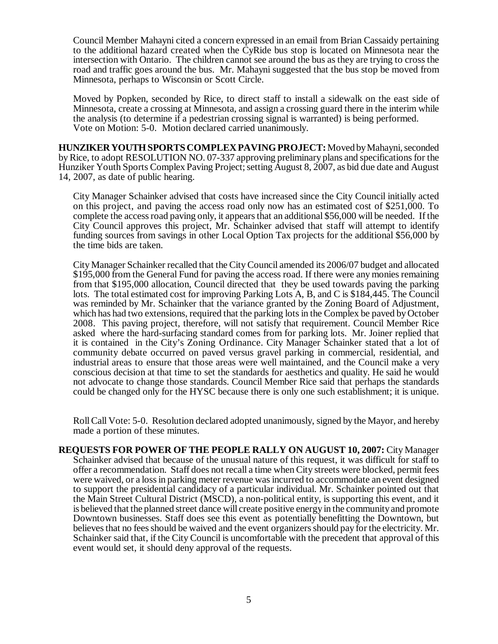Council Member Mahayni cited a concern expressed in an email from Brian Cassaidy pertaining to the additional hazard created when the CyRide bus stop is located on Minnesota near the intersection with Ontario. The children cannot see around the bus as they are trying to cross the road and traffic goes around the bus. Mr. Mahayni suggested that the bus stop be moved from Minnesota, perhaps to Wisconsin or Scott Circle.

Moved by Popken, seconded by Rice, to direct staff to install a sidewalk on the east side of Minnesota, create a crossing at Minnesota, and assign a crossing guard there in the interim while the analysis (to determine if a pedestrian crossing signal is warranted) is being performed. Vote on Motion: 5-0. Motion declared carried unanimously.

**HUNZIKER YOUTH SPORTS COMPLEX PAVING PROJECT:** Moved by Mahayni, seconded by Rice, to adopt RESOLUTION NO. 07-337 approving preliminary plans and specifications for the Hunziker Youth Sports Complex Paving Project; setting August 8, 2007, as bid due date and August 14, 2007, as date of public hearing.

City Manager Schainker advised that costs have increased since the City Council initially acted on this project, and paving the access road only now has an estimated cost of \$251,000. To complete the access road paving only, it appears that an additional \$56,000 will be needed. If the City Council approves this project, Mr. Schainker advised that staff will attempt to identify funding sources from savings in other Local Option Tax projects for the additional \$56,000 by the time bids are taken.

City Manager Schainker recalled that the City Council amended its 2006/07 budget and allocated \$195,000 from the General Fund for paving the access road. If there were any monies remaining from that \$195,000 allocation, Council directed that they be used towards paving the parking lots. The total estimated cost for improving Parking Lots A, B, and C is \$184,445. The Council was reminded by Mr. Schainker that the variance granted by the Zoning Board of Adjustment, which has had two extensions, required that the parking lots in the Complex be paved by October 2008. This paving project, therefore, will not satisfy that requirement. Council Member Rice asked where the hard-surfacing standard comes from for parking lots. Mr. Joiner replied that it is contained in the City's Zoning Ordinance. City Manager Schainker stated that a lot of community debate occurred on paved versus gravel parking in commercial, residential, and industrial areas to ensure that those areas were well maintained, and the Council make a very conscious decision at that time to set the standards for aesthetics and quality. He said he would not advocate to change those standards. Council Member Rice said that perhaps the standards could be changed only for the HYSC because there is only one such establishment; it is unique.

Roll Call Vote: 5-0. Resolution declared adopted unanimously, signed by the Mayor, and hereby made a portion of these minutes.

**REQUESTS FOR POWER OF THE PEOPLE RALLY ON AUGUST 10, 2007:** City Manager Schainker advised that because of the unusual nature of this request, it was difficult for staff to offer a recommendation. Staff does not recall a time when City streets were blocked, permit fees were waived, or a loss in parking meter revenue was incurred to accommodate an event designed to support the presidential candidacy of a particular individual. Mr. Schainker pointed out that the Main Street Cultural District (MSCD), a non-political entity, is supporting this event, and it is believed that the planned street dance will create positive energy in the community and promote Downtown businesses. Staff does see this event as potentially benefitting the Downtown, but believes that no fees should be waived and the event organizers should pay for the electricity. Mr. Schainker said that, if the City Council is uncomfortable with the precedent that approval of this event would set, it should deny approval of the requests.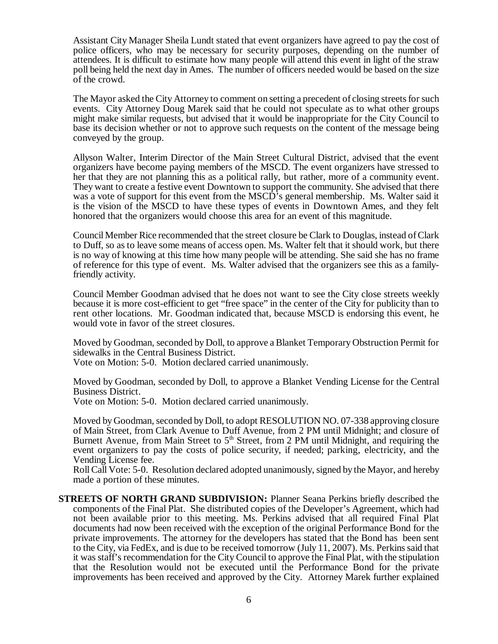Assistant City Manager Sheila Lundt stated that event organizers have agreed to pay the cost of police officers, who may be necessary for security purposes, depending on the number of attendees. It is difficult to estimate how many people will attend this event in light of the straw poll being held the next day in Ames. The number of officers needed would be based on the size of the crowd.

The Mayor asked the City Attorney to comment on setting a precedent of closing streets for such events. City Attorney Doug Marek said that he could not speculate as to what other groups might make similar requests, but advised that it would be inappropriate for the City Council to base its decision whether or not to approve such requests on the content of the message being conveyed by the group.

Allyson Walter, Interim Director of the Main Street Cultural District, advised that the event organizers have become paying members of the MSCD. The event organizers have stressed to her that they are not planning this as a political rally, but rather, more of a community event. They want to create a festive event Downtown to support the community. She advised that there was a vote of support for this event from the MSCD<sup>3</sup>s general membership. Ms. Walter said it is the vision of the MSCD to have these types of events in Downtown Ames, and they felt honored that the organizers would choose this area for an event of this magnitude.

Council Member Rice recommended that the street closure be Clark to Douglas, instead of Clark to Duff, so as to leave some means of access open. Ms. Walter felt that it should work, but there is no way of knowing at this time how many people will be attending. She said she has no frame of reference for this type of event. Ms. Walter advised that the organizers see this as a familyfriendly activity.

Council Member Goodman advised that he does not want to see the City close streets weekly because it is more cost-efficient to get "free space" in the center of the City for publicity than to rent other locations. Mr. Goodman indicated that, because MSCD is endorsing this event, he would vote in favor of the street closures.

Moved by Goodman, seconded by Doll, to approve a Blanket Temporary Obstruction Permit for sidewalks in the Central Business District.

Vote on Motion: 5-0. Motion declared carried unanimously.

Moved by Goodman, seconded by Doll, to approve a Blanket Vending License for the Central Business District.

Vote on Motion: 5-0. Motion declared carried unanimously.

Moved by Goodman, seconded by Doll, to adopt RESOLUTION NO. 07-338 approving closure of Main Street, from Clark Avenue to Duff Avenue, from 2 PM until Midnight; and closure of Burnett Avenue, from Main Street to  $5<sup>th</sup>$  Street, from 2 PM until Midnight, and requiring the event organizers to pay the costs of police security, if needed; parking, electricity, and the Vending License fee.

Roll Call Vote: 5-0. Resolution declared adopted unanimously, signed by the Mayor, and hereby made a portion of these minutes.

**STREETS OF NORTH GRAND SUBDIVISION:** Planner Seana Perkins briefly described the components of the Final Plat. She distributed copies of the Developer's Agreement, which had not been available prior to this meeting. Ms. Perkins advised that all required Final Plat documents had now been received with the exception of the original Performance Bond for the private improvements. The attorney for the developers has stated that the Bond has been sent to the City, via FedEx, and is due to be received tomorrow (July 11, 2007). Ms. Perkins said that it was staff's recommendation for the City Council to approve the Final Plat, with the stipulation that the Resolution would not be executed until the Performance Bond for the private improvements has been received and approved by the City. Attorney Marek further explained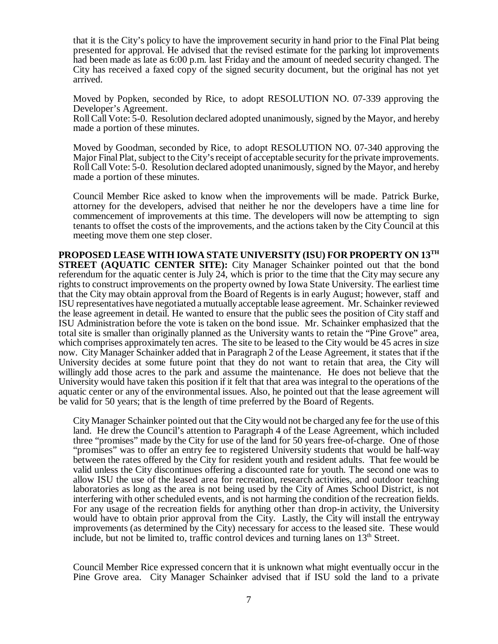that it is the City's policy to have the improvement security in hand prior to the Final Plat being presented for approval. He advised that the revised estimate for the parking lot improvements had been made as late as 6:00 p.m. last Friday and the amount of needed security changed. The City has received a faxed copy of the signed security document, but the original has not yet arrived.

Moved by Popken, seconded by Rice, to adopt RESOLUTION NO. 07-339 approving the Developer's Agreement.

Roll Call Vote: 5-0. Resolution declared adopted unanimously, signed by the Mayor, and hereby made a portion of these minutes.

Moved by Goodman, seconded by Rice, to adopt RESOLUTION NO. 07-340 approving the Major Final Plat, subject to the City's receipt of acceptable security for the private improvements. Roll Call Vote: 5-0. Resolution declared adopted unanimously, signed by the Mayor, and hereby made a portion of these minutes.

Council Member Rice asked to know when the improvements will be made. Patrick Burke, attorney for the developers, advised that neither he nor the developers have a time line for commencement of improvements at this time. The developers will now be attempting to sign tenants to offset the costs of the improvements, and the actions taken by the City Council at this meeting move them one step closer.

**PROPOSED LEASE WITH IOWA STATE UNIVERSITY (ISU) FOR PROPERTY ON 13TH STREET (AQUATIC CENTER SITE):** City Manager Schainker pointed out that the bond referendum for the aquatic center is July 24, which is prior to the time that the City may secure any rights to construct improvements on the property owned by Iowa State University. The earliest time that the City may obtain approval from the Board of Regents is in early August; however, staff and ISU representatives have negotiated a mutually acceptable lease agreement. Mr. Schainker reviewed the lease agreement in detail. He wanted to ensure that the public sees the position of City staff and ISU Administration before the vote is taken on the bond issue. Mr. Schainker emphasized that the total site is smaller than originally planned as the University wants to retain the "Pine Grove" area, which comprises approximately ten acres. The site to be leased to the City would be 45 acres in size now. City Manager Schainker added that in Paragraph 2 of the Lease Agreement, it states that if the University decides at some future point that they do not want to retain that area, the City will willingly add those acres to the park and assume the maintenance. He does not believe that the University would have taken this position if it felt that that area was integral to the operations of the aquatic center or any of the environmental issues. Also, he pointed out that the lease agreement will be valid for 50 years; that is the length of time preferred by the Board of Regents.

City Manager Schainker pointed out that the City would not be charged any fee for the use of this land. He drew the Council's attention to Paragraph 4 of the Lease Agreement, which included three "promises" made by the City for use of the land for 50 years free-of-charge. One of those "promises" was to offer an entry fee to registered University students that would be half-way between the rates offered by the City for resident youth and resident adults. That fee would be valid unless the City discontinues offering a discounted rate for youth. The second one was to allow ISU the use of the leased area for recreation, research activities, and outdoor teaching laboratories as long as the area is not being used by the City of Ames School District, is not interfering with other scheduled events, and is not harming the condition of the recreation fields. For any usage of the recreation fields for anything other than drop-in activity, the University would have to obtain prior approval from the City. Lastly, the City will install the entryway improvements (as determined by the City) necessary for access to the leased site. These would include, but not be limited to, traffic control devices and turning lanes on  $13<sup>th</sup>$  Street.

Council Member Rice expressed concern that it is unknown what might eventually occur in the Pine Grove area. City Manager Schainker advised that if ISU sold the land to a private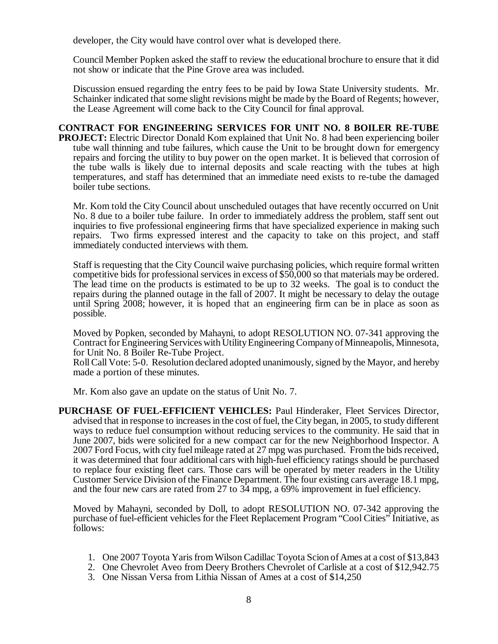developer, the City would have control over what is developed there.

Council Member Popken asked the staff to review the educational brochure to ensure that it did not show or indicate that the Pine Grove area was included.

Discussion ensued regarding the entry fees to be paid by Iowa State University students. Mr. Schainker indicated that some slight revisions might be made by the Board of Regents; however, the Lease Agreement will come back to the City Council for final approval.

# **CONTRACT FOR ENGINEERING SERVICES FOR UNIT NO. 8 BOILER RE-TUBE**

**PROJECT:** Electric Director Donald Kom explained that Unit No. 8 had been experiencing boiler tube wall thinning and tube failures, which cause the Unit to be brought down for emergency repairs and forcing the utility to buy power on the open market. It is believed that corrosion of the tube walls is likely due to internal deposits and scale reacting with the tubes at high temperatures, and staff has determined that an immediate need exists to re-tube the damaged boiler tube sections.

Mr. Kom told the City Council about unscheduled outages that have recently occurred on Unit No. 8 due to a boiler tube failure. In order to immediately address the problem, staff sent out inquiries to five professional engineering firms that have specialized experience in making such repairs. Two firms expressed interest and the capacity to take on this project, and staff immediately conducted interviews with them.

Staff is requesting that the City Council waive purchasing policies, which require formal written competitive bids for professional services in excess of \$50,000 so that materials may be ordered. The lead time on the products is estimated to be up to 32 weeks. The goal is to conduct the repairs during the planned outage in the fall of 2007. It might be necessary to delay the outage until Spring 2008; however, it is hoped that an engineering firm can be in place as soon as possible.

Moved by Popken, seconded by Mahayni, to adopt RESOLUTION NO. 07-341 approving the Contract for Engineering Services with Utility Engineering Company of Minneapolis, Minnesota, for Unit No. 8 Boiler Re-Tube Project.

Roll Call Vote: 5-0. Resolution declared adopted unanimously, signed by the Mayor, and hereby made a portion of these minutes.

Mr. Kom also gave an update on the status of Unit No. 7.

**PURCHASE OF FUEL-EFFICIENT VEHICLES:** Paul Hinderaker, Fleet Services Director, advised that in response to increases in the cost of fuel, the City began, in 2005, to study different ways to reduce fuel consumption without reducing services to the community. He said that in June 2007, bids were solicited for a new compact car for the new Neighborhood Inspector. A 2007 Ford Focus, with city fuel mileage rated at 27 mpg was purchased. From the bids received, it was determined that four additional cars with high-fuel efficiency ratings should be purchased to replace four existing fleet cars. Those cars will be operated by meter readers in the Utility Customer Service Division of the Finance Department. The four existing cars average 18.1 mpg, and the four new cars are rated from 27 to 34 mpg, a 69% improvement in fuel efficiency.

Moved by Mahayni, seconded by Doll, to adopt RESOLUTION NO. 07-342 approving the purchase of fuel-efficient vehicles for the Fleet Replacement Program "Cool Cities" Initiative, as follows:

- 1. One 2007 Toyota Yaris from Wilson Cadillac Toyota Scion of Ames at a cost of \$13,843
- 2. One Chevrolet Aveo from Deery Brothers Chevrolet of Carlisle at a cost of \$12,942.75
- 3. One Nissan Versa from Lithia Nissan of Ames at a cost of \$14,250